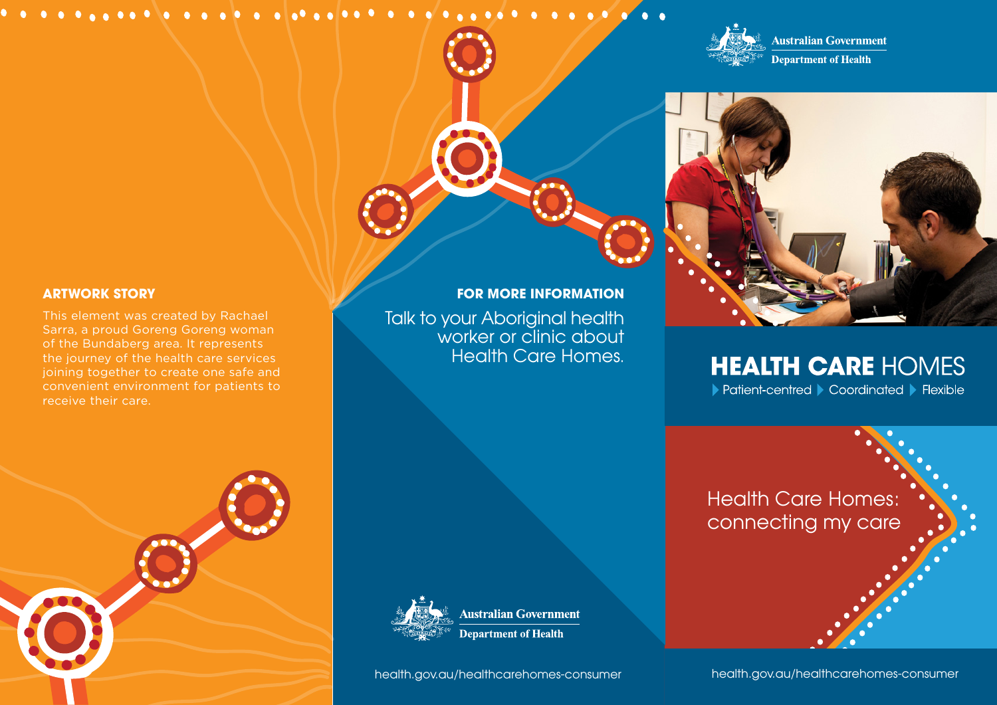### 



**Australian Government Department of Health** 



# **HEALTH CARE HOMES**

▶ Patient-centred ▶ Coordinated ▶ Flexible

Health Care Homes: connecting my care



**Australian Government Department of Health** 

**FOR MORE INFORMATION** 

worker or clinic about Health Care Homes.

Talk to your Aboriginal health

health.gov.au/healthcarehomes-consumer

health.gov.au/healthcarehomes-consumer

### **ARTWORK STORY**

This element was created by Rachael Sarra, a proud Goreng Goreng woman of the Bundaberg area. It represents the journey of the health care services joining together to create one safe and convenient environment for patients to receive their care.